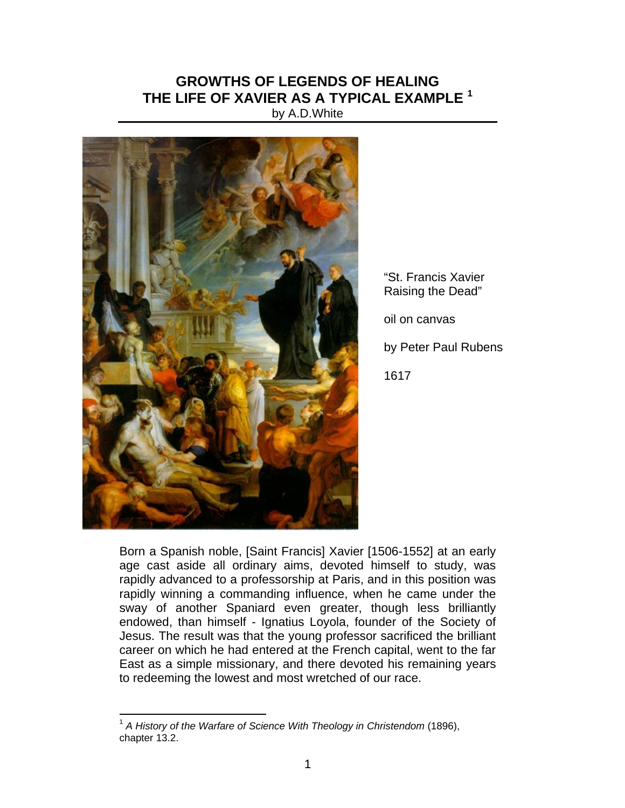## **GROWTHS OF LEGENDS OF HEALING THE LIFE OF XAVIER AS A TYPICAL EXAMPLE <sup>1</sup>**

by A.D.White



"St. Francis Xavier Raising the Dead" oil on canvas by Peter Paul Rubens

1617

Born a Spanish noble, [Saint Francis] Xavier [1506-1552] at an early age cast aside all ordinary aims, devoted himself to study, was rapidly advanced to a professorship at Paris, and in this position was rapidly winning a commanding influence, when he came under the sway of another Spaniard even greater, though less brilliantly endowed, than himself - Ignatius Loyola, founder of the Society of Jesus. The result was that the young professor sacrificed the brilliant career on which he had entered at the French capital, went to the far East as a simple missionary, and there devoted his remaining years to redeeming the lowest and most wretched of our race.

 $\overline{a}$ 

<sup>1</sup> *A History of the Warfare of Science With Theology in Christendom* (1896), chapter 13.2.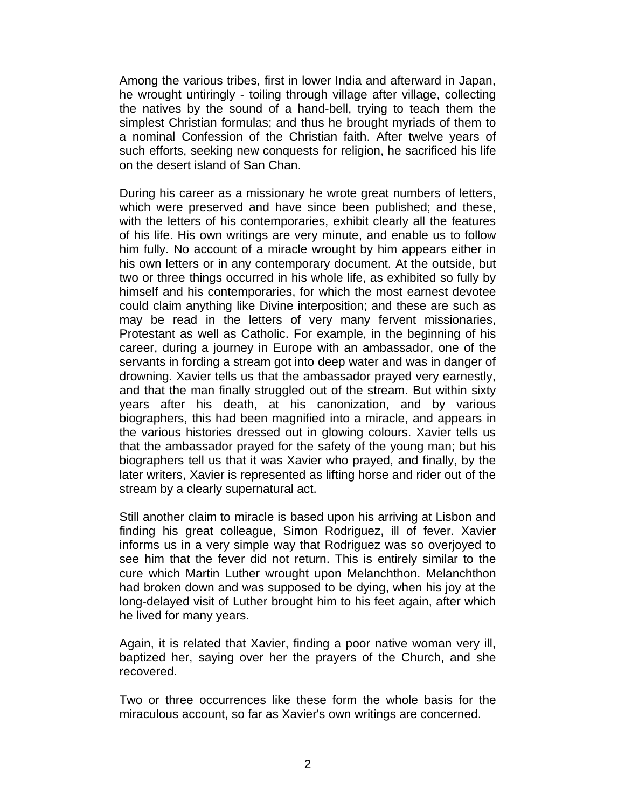Among the various tribes, first in lower India and afterward in Japan, he wrought untiringly - toiling through village after village, collecting the natives by the sound of a hand-bell, trying to teach them the simplest Christian formulas; and thus he brought myriads of them to a nominal Confession of the Christian faith. After twelve years of such efforts, seeking new conquests for religion, he sacrificed his life on the desert island of San Chan.

During his career as a missionary he wrote great numbers of letters, which were preserved and have since been published; and these, with the letters of his contemporaries, exhibit clearly all the features of his life. His own writings are very minute, and enable us to follow him fully. No account of a miracle wrought by him appears either in his own letters or in any contemporary document. At the outside, but two or three things occurred in his whole life, as exhibited so fully by himself and his contemporaries, for which the most earnest devotee could claim anything like Divine interposition; and these are such as may be read in the letters of very many fervent missionaries, Protestant as well as Catholic. For example, in the beginning of his career, during a journey in Europe with an ambassador, one of the servants in fording a stream got into deep water and was in danger of drowning. Xavier tells us that the ambassador prayed very earnestly, and that the man finally struggled out of the stream. But within sixty years after his death, at his canonization, and by various biographers, this had been magnified into a miracle, and appears in the various histories dressed out in glowing colours. Xavier tells us that the ambassador prayed for the safety of the young man; but his biographers tell us that it was Xavier who prayed, and finally, by the later writers, Xavier is represented as lifting horse and rider out of the stream by a clearly supernatural act.

Still another claim to miracle is based upon his arriving at Lisbon and finding his great colleague, Simon Rodriguez, ill of fever. Xavier informs us in a very simple way that Rodriguez was so overjoyed to see him that the fever did not return. This is entirely similar to the cure which Martin Luther wrought upon Melanchthon. Melanchthon had broken down and was supposed to be dying, when his joy at the long-delayed visit of Luther brought him to his feet again, after which he lived for many years.

Again, it is related that Xavier, finding a poor native woman very ill, baptized her, saying over her the prayers of the Church, and she recovered.

Two or three occurrences like these form the whole basis for the miraculous account, so far as Xavier's own writings are concerned.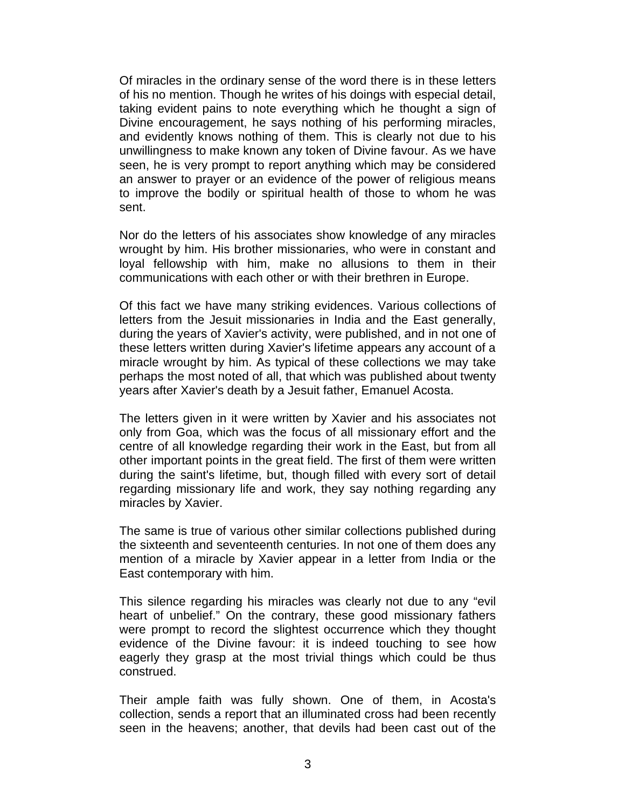Of miracles in the ordinary sense of the word there is in these letters of his no mention. Though he writes of his doings with especial detail, taking evident pains to note everything which he thought a sign of Divine encouragement, he says nothing of his performing miracles, and evidently knows nothing of them. This is clearly not due to his unwillingness to make known any token of Divine favour. As we have seen, he is very prompt to report anything which may be considered an answer to prayer or an evidence of the power of religious means to improve the bodily or spiritual health of those to whom he was sent.

Nor do the letters of his associates show knowledge of any miracles wrought by him. His brother missionaries, who were in constant and loyal fellowship with him, make no allusions to them in their communications with each other or with their brethren in Europe.

Of this fact we have many striking evidences. Various collections of letters from the Jesuit missionaries in India and the East generally, during the years of Xavier's activity, were published, and in not one of these letters written during Xavier's lifetime appears any account of a miracle wrought by him. As typical of these collections we may take perhaps the most noted of all, that which was published about twenty years after Xavier's death by a Jesuit father, Emanuel Acosta.

The letters given in it were written by Xavier and his associates not only from Goa, which was the focus of all missionary effort and the centre of all knowledge regarding their work in the East, but from all other important points in the great field. The first of them were written during the saint's lifetime, but, though filled with every sort of detail regarding missionary life and work, they say nothing regarding any miracles by Xavier.

The same is true of various other similar collections published during the sixteenth and seventeenth centuries. In not one of them does any mention of a miracle by Xavier appear in a letter from India or the East contemporary with him.

This silence regarding his miracles was clearly not due to any "evil heart of unbelief." On the contrary, these good missionary fathers were prompt to record the slightest occurrence which they thought evidence of the Divine favour: it is indeed touching to see how eagerly they grasp at the most trivial things which could be thus construed.

Their ample faith was fully shown. One of them, in Acosta's collection, sends a report that an illuminated cross had been recently seen in the heavens; another, that devils had been cast out of the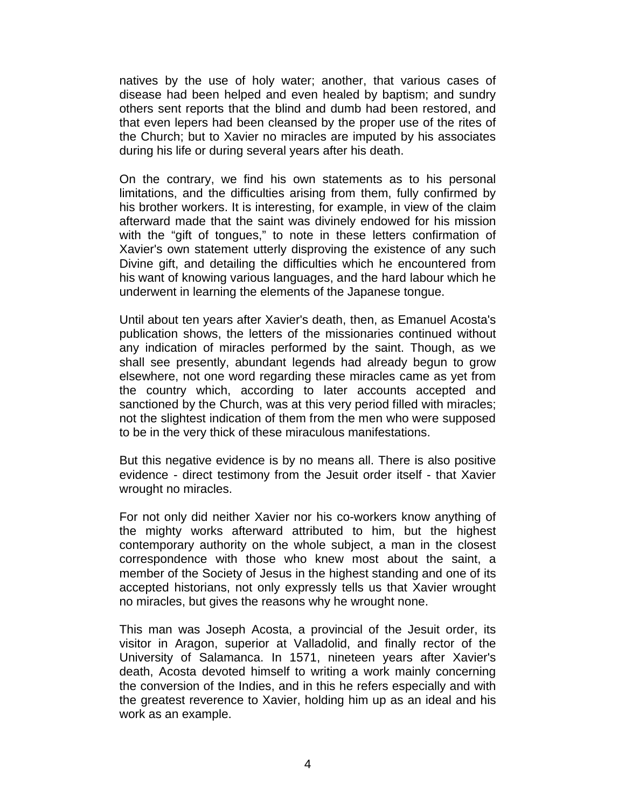natives by the use of holy water; another, that various cases of disease had been helped and even healed by baptism; and sundry others sent reports that the blind and dumb had been restored, and that even lepers had been cleansed by the proper use of the rites of the Church; but to Xavier no miracles are imputed by his associates during his life or during several years after his death.

On the contrary, we find his own statements as to his personal limitations, and the difficulties arising from them, fully confirmed by his brother workers. It is interesting, for example, in view of the claim afterward made that the saint was divinely endowed for his mission with the "gift of tongues," to note in these letters confirmation of Xavier's own statement utterly disproving the existence of any such Divine gift, and detailing the difficulties which he encountered from his want of knowing various languages, and the hard labour which he underwent in learning the elements of the Japanese tongue.

Until about ten years after Xavier's death, then, as Emanuel Acosta's publication shows, the letters of the missionaries continued without any indication of miracles performed by the saint. Though, as we shall see presently, abundant legends had already begun to grow elsewhere, not one word regarding these miracles came as yet from the country which, according to later accounts accepted and sanctioned by the Church, was at this very period filled with miracles; not the slightest indication of them from the men who were supposed to be in the very thick of these miraculous manifestations.

But this negative evidence is by no means all. There is also positive evidence - direct testimony from the Jesuit order itself - that Xavier wrought no miracles.

For not only did neither Xavier nor his co-workers know anything of the mighty works afterward attributed to him, but the highest contemporary authority on the whole subject, a man in the closest correspondence with those who knew most about the saint, a member of the Society of Jesus in the highest standing and one of its accepted historians, not only expressly tells us that Xavier wrought no miracles, but gives the reasons why he wrought none.

This man was Joseph Acosta, a provincial of the Jesuit order, its visitor in Aragon, superior at Valladolid, and finally rector of the University of Salamanca. In 1571, nineteen years after Xavier's death, Acosta devoted himself to writing a work mainly concerning the conversion of the Indies, and in this he refers especially and with the greatest reverence to Xavier, holding him up as an ideal and his work as an example.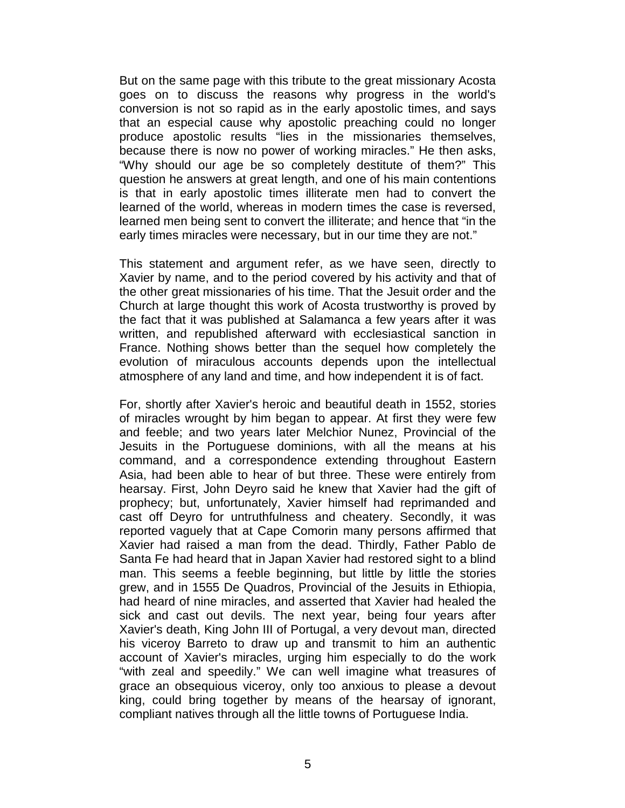But on the same page with this tribute to the great missionary Acosta goes on to discuss the reasons why progress in the world's conversion is not so rapid as in the early apostolic times, and says that an especial cause why apostolic preaching could no longer produce apostolic results "lies in the missionaries themselves, because there is now no power of working miracles." He then asks, "Why should our age be so completely destitute of them?" This question he answers at great length, and one of his main contentions is that in early apostolic times illiterate men had to convert the learned of the world, whereas in modern times the case is reversed, learned men being sent to convert the illiterate; and hence that "in the early times miracles were necessary, but in our time they are not."

This statement and argument refer, as we have seen, directly to Xavier by name, and to the period covered by his activity and that of the other great missionaries of his time. That the Jesuit order and the Church at large thought this work of Acosta trustworthy is proved by the fact that it was published at Salamanca a few years after it was written, and republished afterward with ecclesiastical sanction in France. Nothing shows better than the sequel how completely the evolution of miraculous accounts depends upon the intellectual atmosphere of any land and time, and how independent it is of fact.

For, shortly after Xavier's heroic and beautiful death in 1552, stories of miracles wrought by him began to appear. At first they were few and feeble; and two years later Melchior Nunez, Provincial of the Jesuits in the Portuguese dominions, with all the means at his command, and a correspondence extending throughout Eastern Asia, had been able to hear of but three. These were entirely from hearsay. First, John Deyro said he knew that Xavier had the gift of prophecy; but, unfortunately, Xavier himself had reprimanded and cast off Deyro for untruthfulness and cheatery. Secondly, it was reported vaguely that at Cape Comorin many persons affirmed that Xavier had raised a man from the dead. Thirdly, Father Pablo de Santa Fe had heard that in Japan Xavier had restored sight to a blind man. This seems a feeble beginning, but little by little the stories grew, and in 1555 De Quadros, Provincial of the Jesuits in Ethiopia, had heard of nine miracles, and asserted that Xavier had healed the sick and cast out devils. The next year, being four years after Xavier's death, King John III of Portugal, a very devout man, directed his viceroy Barreto to draw up and transmit to him an authentic account of Xavier's miracles, urging him especially to do the work "with zeal and speedily." We can well imagine what treasures of grace an obsequious viceroy, only too anxious to please a devout king, could bring together by means of the hearsay of ignorant, compliant natives through all the little towns of Portuguese India.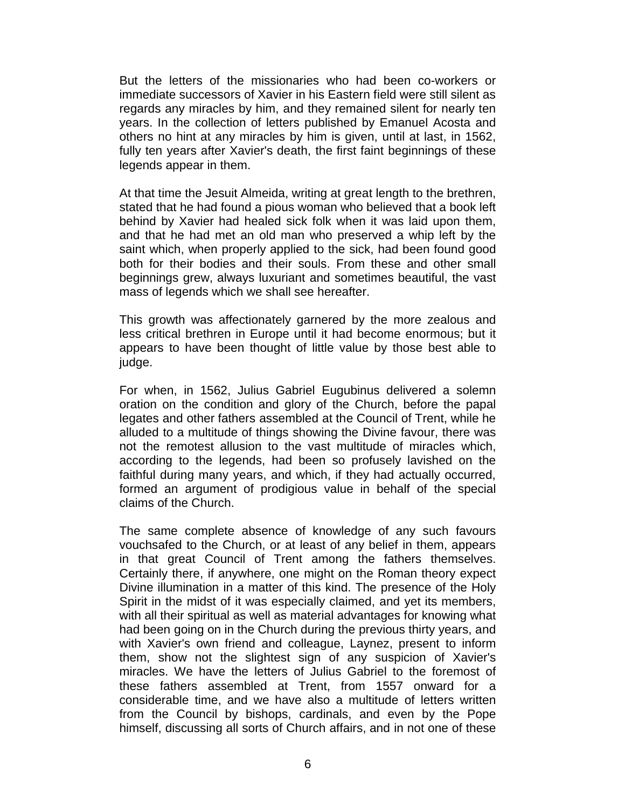But the letters of the missionaries who had been co-workers or immediate successors of Xavier in his Eastern field were still silent as regards any miracles by him, and they remained silent for nearly ten years. In the collection of letters published by Emanuel Acosta and others no hint at any miracles by him is given, until at last, in 1562, fully ten years after Xavier's death, the first faint beginnings of these legends appear in them.

At that time the Jesuit Almeida, writing at great length to the brethren, stated that he had found a pious woman who believed that a book left behind by Xavier had healed sick folk when it was laid upon them, and that he had met an old man who preserved a whip left by the saint which, when properly applied to the sick, had been found good both for their bodies and their souls. From these and other small beginnings grew, always luxuriant and sometimes beautiful, the vast mass of legends which we shall see hereafter.

This growth was affectionately garnered by the more zealous and less critical brethren in Europe until it had become enormous; but it appears to have been thought of little value by those best able to judge.

For when, in 1562, Julius Gabriel Eugubinus delivered a solemn oration on the condition and glory of the Church, before the papal legates and other fathers assembled at the Council of Trent, while he alluded to a multitude of things showing the Divine favour, there was not the remotest allusion to the vast multitude of miracles which, according to the legends, had been so profusely lavished on the faithful during many years, and which, if they had actually occurred, formed an argument of prodigious value in behalf of the special claims of the Church.

The same complete absence of knowledge of any such favours vouchsafed to the Church, or at least of any belief in them, appears in that great Council of Trent among the fathers themselves. Certainly there, if anywhere, one might on the Roman theory expect Divine illumination in a matter of this kind. The presence of the Holy Spirit in the midst of it was especially claimed, and yet its members, with all their spiritual as well as material advantages for knowing what had been going on in the Church during the previous thirty years, and with Xavier's own friend and colleague, Laynez, present to inform them, show not the slightest sign of any suspicion of Xavier's miracles. We have the letters of Julius Gabriel to the foremost of these fathers assembled at Trent, from 1557 onward for a considerable time, and we have also a multitude of letters written from the Council by bishops, cardinals, and even by the Pope himself, discussing all sorts of Church affairs, and in not one of these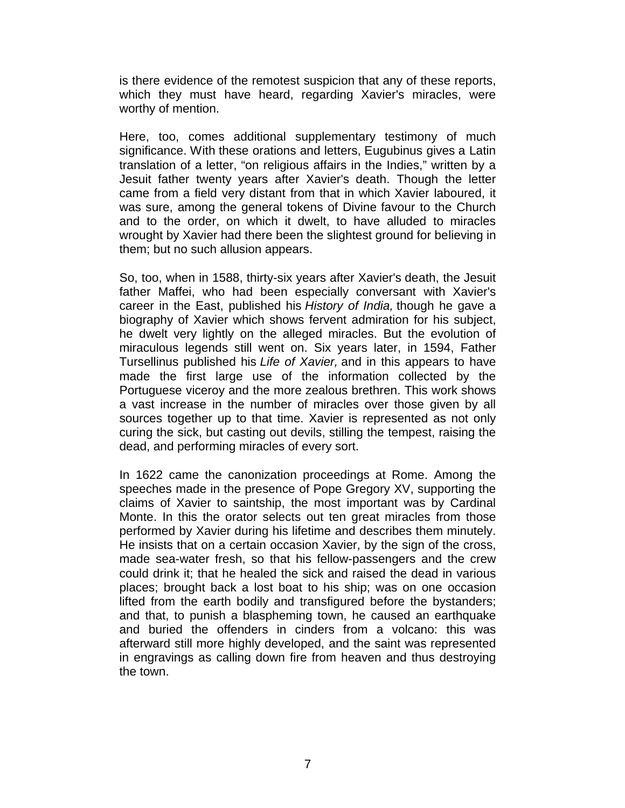is there evidence of the remotest suspicion that any of these reports, which they must have heard, regarding Xavier's miracles, were worthy of mention.

Here, too, comes additional supplementary testimony of much significance. With these orations and letters, Eugubinus gives a Latin translation of a letter, "on religious affairs in the Indies," written by a Jesuit father twenty years after Xavier's death. Though the letter came from a field very distant from that in which Xavier laboured, it was sure, among the general tokens of Divine favour to the Church and to the order, on which it dwelt, to have alluded to miracles wrought by Xavier had there been the slightest ground for believing in them; but no such allusion appears.

So, too, when in 1588, thirty-six years after Xavier's death, the Jesuit father Maffei, who had been especially conversant with Xavier's career in the East, published his *History of India,* though he gave a biography of Xavier which shows fervent admiration for his subject, he dwelt very lightly on the alleged miracles. But the evolution of miraculous legends still went on. Six years later, in 1594, Father Tursellinus published his *Life of Xavier,* and in this appears to have made the first large use of the information collected by the Portuguese viceroy and the more zealous brethren. This work shows a vast increase in the number of miracles over those given by all sources together up to that time. Xavier is represented as not only curing the sick, but casting out devils, stilling the tempest, raising the dead, and performing miracles of every sort.

In 1622 came the canonization proceedings at Rome. Among the speeches made in the presence of Pope Gregory XV, supporting the claims of Xavier to saintship, the most important was by Cardinal Monte. In this the orator selects out ten great miracles from those performed by Xavier during his lifetime and describes them minutely. He insists that on a certain occasion Xavier, by the sign of the cross, made sea-water fresh, so that his fellow-passengers and the crew could drink it; that he healed the sick and raised the dead in various places; brought back a lost boat to his ship; was on one occasion lifted from the earth bodily and transfigured before the bystanders; and that, to punish a blaspheming town, he caused an earthquake and buried the offenders in cinders from a volcano: this was afterward still more highly developed, and the saint was represented in engravings as calling down fire from heaven and thus destroying the town.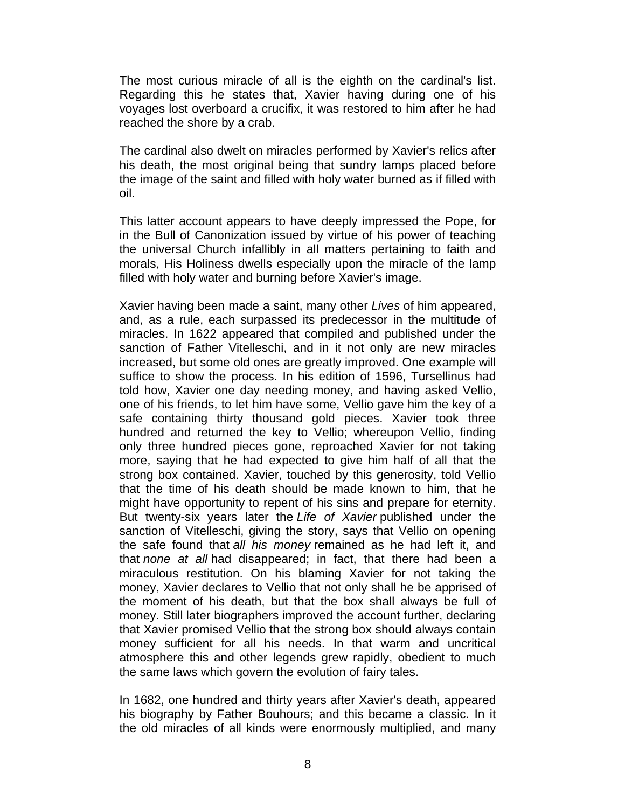The most curious miracle of all is the eighth on the cardinal's list. Regarding this he states that, Xavier having during one of his voyages lost overboard a crucifix, it was restored to him after he had reached the shore by a crab.

The cardinal also dwelt on miracles performed by Xavier's relics after his death, the most original being that sundry lamps placed before the image of the saint and filled with holy water burned as if filled with oil.

This latter account appears to have deeply impressed the Pope, for in the Bull of Canonization issued by virtue of his power of teaching the universal Church infallibly in all matters pertaining to faith and morals, His Holiness dwells especially upon the miracle of the lamp filled with holy water and burning before Xavier's image.

Xavier having been made a saint, many other *Lives* of him appeared, and, as a rule, each surpassed its predecessor in the multitude of miracles. In 1622 appeared that compiled and published under the sanction of Father Vitelleschi, and in it not only are new miracles increased, but some old ones are greatly improved. One example will suffice to show the process. In his edition of 1596, Tursellinus had told how, Xavier one day needing money, and having asked Vellio, one of his friends, to let him have some, Vellio gave him the key of a safe containing thirty thousand gold pieces. Xavier took three hundred and returned the key to Vellio; whereupon Vellio, finding only three hundred pieces gone, reproached Xavier for not taking more, saying that he had expected to give him half of all that the strong box contained. Xavier, touched by this generosity, told Vellio that the time of his death should be made known to him, that he might have opportunity to repent of his sins and prepare for eternity. But twenty-six years later the *Life of Xavier* published under the sanction of Vitelleschi, giving the story, says that Vellio on opening the safe found that *all his money* remained as he had left it, and that *none at all* had disappeared; in fact, that there had been a miraculous restitution. On his blaming Xavier for not taking the money, Xavier declares to Vellio that not only shall he be apprised of the moment of his death, but that the box shall always be full of money. Still later biographers improved the account further, declaring that Xavier promised Vellio that the strong box should always contain money sufficient for all his needs. In that warm and uncritical atmosphere this and other legends grew rapidly, obedient to much the same laws which govern the evolution of fairy tales.

In 1682, one hundred and thirty years after Xavier's death, appeared his biography by Father Bouhours; and this became a classic. In it the old miracles of all kinds were enormously multiplied, and many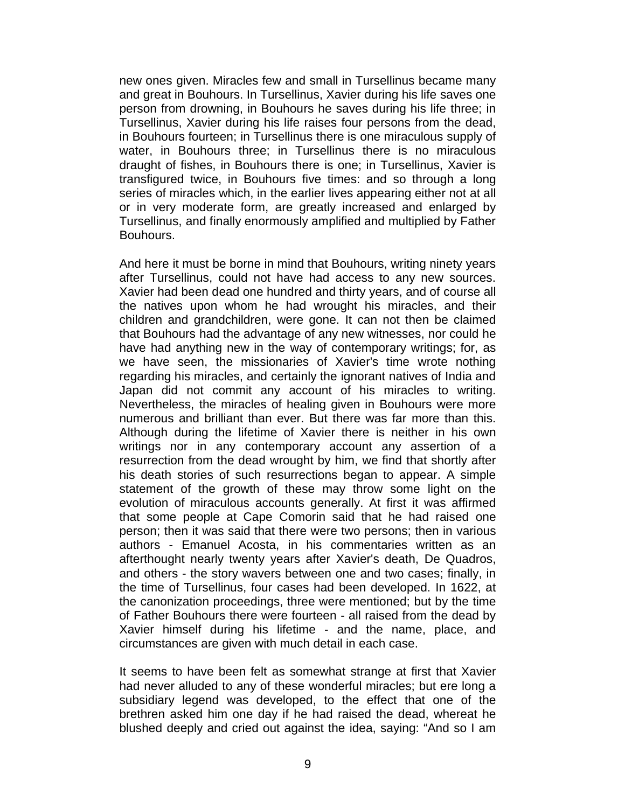new ones given. Miracles few and small in Tursellinus became many and great in Bouhours. In Tursellinus, Xavier during his life saves one person from drowning, in Bouhours he saves during his life three; in Tursellinus, Xavier during his life raises four persons from the dead, in Bouhours fourteen; in Tursellinus there is one miraculous supply of water, in Bouhours three; in Tursellinus there is no miraculous draught of fishes, in Bouhours there is one; in Tursellinus, Xavier is transfigured twice, in Bouhours five times: and so through a long series of miracles which, in the earlier lives appearing either not at all or in very moderate form, are greatly increased and enlarged by Tursellinus, and finally enormously amplified and multiplied by Father Bouhours.

And here it must be borne in mind that Bouhours, writing ninety years after Tursellinus, could not have had access to any new sources. Xavier had been dead one hundred and thirty years, and of course all the natives upon whom he had wrought his miracles, and their children and grandchildren, were gone. It can not then be claimed that Bouhours had the advantage of any new witnesses, nor could he have had anything new in the way of contemporary writings; for, as we have seen, the missionaries of Xavier's time wrote nothing regarding his miracles, and certainly the ignorant natives of India and Japan did not commit any account of his miracles to writing. Nevertheless, the miracles of healing given in Bouhours were more numerous and brilliant than ever. But there was far more than this. Although during the lifetime of Xavier there is neither in his own writings nor in any contemporary account any assertion of a resurrection from the dead wrought by him, we find that shortly after his death stories of such resurrections began to appear. A simple statement of the growth of these may throw some light on the evolution of miraculous accounts generally. At first it was affirmed that some people at Cape Comorin said that he had raised one person; then it was said that there were two persons; then in various authors - Emanuel Acosta, in his commentaries written as an afterthought nearly twenty years after Xavier's death, De Quadros, and others - the story wavers between one and two cases; finally, in the time of Tursellinus, four cases had been developed. In 1622, at the canonization proceedings, three were mentioned; but by the time of Father Bouhours there were fourteen - all raised from the dead by Xavier himself during his lifetime - and the name, place, and circumstances are given with much detail in each case.

It seems to have been felt as somewhat strange at first that Xavier had never alluded to any of these wonderful miracles; but ere long a subsidiary legend was developed, to the effect that one of the brethren asked him one day if he had raised the dead, whereat he blushed deeply and cried out against the idea, saying: "And so I am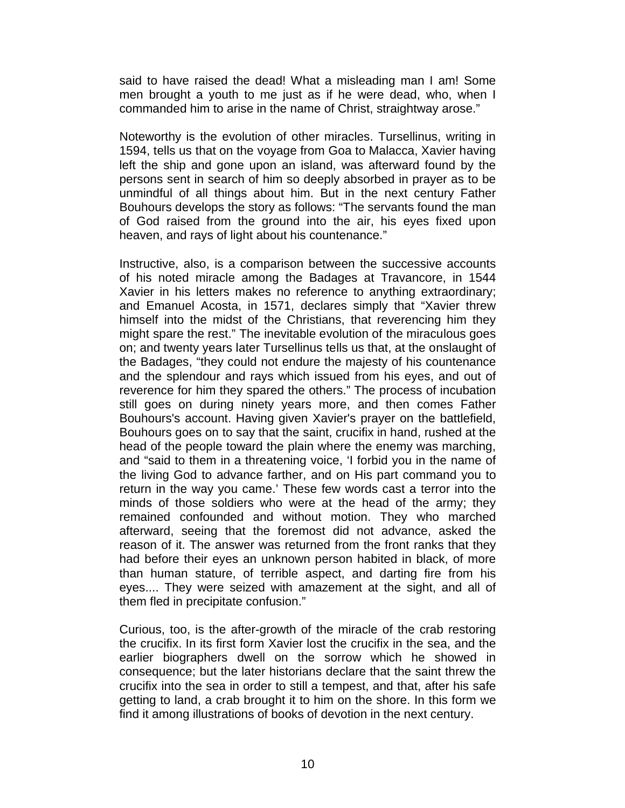said to have raised the dead! What a misleading man I am! Some men brought a youth to me just as if he were dead, who, when I commanded him to arise in the name of Christ, straightway arose."

Noteworthy is the evolution of other miracles. Tursellinus, writing in 1594, tells us that on the voyage from Goa to Malacca, Xavier having left the ship and gone upon an island, was afterward found by the persons sent in search of him so deeply absorbed in prayer as to be unmindful of all things about him. But in the next century Father Bouhours develops the story as follows: "The servants found the man of God raised from the ground into the air, his eyes fixed upon heaven, and rays of light about his countenance."

Instructive, also, is a comparison between the successive accounts of his noted miracle among the Badages at Travancore, in 1544 Xavier in his letters makes no reference to anything extraordinary; and Emanuel Acosta, in 1571, declares simply that "Xavier threw himself into the midst of the Christians, that reverencing him they might spare the rest." The inevitable evolution of the miraculous goes on; and twenty years later Tursellinus tells us that, at the onslaught of the Badages, "they could not endure the majesty of his countenance and the splendour and rays which issued from his eyes, and out of reverence for him they spared the others." The process of incubation still goes on during ninety years more, and then comes Father Bouhours's account. Having given Xavier's prayer on the battlefield, Bouhours goes on to say that the saint, crucifix in hand, rushed at the head of the people toward the plain where the enemy was marching, and "said to them in a threatening voice, 'I forbid you in the name of the living God to advance farther, and on His part command you to return in the way you came.' These few words cast a terror into the minds of those soldiers who were at the head of the army; they remained confounded and without motion. They who marched afterward, seeing that the foremost did not advance, asked the reason of it. The answer was returned from the front ranks that they had before their eyes an unknown person habited in black, of more than human stature, of terrible aspect, and darting fire from his eyes.... They were seized with amazement at the sight, and all of them fled in precipitate confusion."

Curious, too, is the after-growth of the miracle of the crab restoring the crucifix. In its first form Xavier lost the crucifix in the sea, and the earlier biographers dwell on the sorrow which he showed in consequence; but the later historians declare that the saint threw the crucifix into the sea in order to still a tempest, and that, after his safe getting to land, a crab brought it to him on the shore. In this form we find it among illustrations of books of devotion in the next century.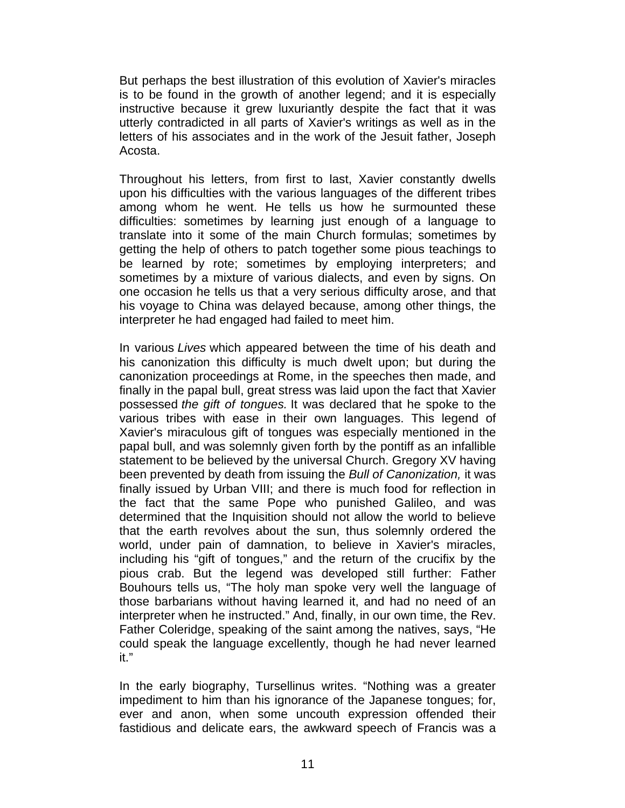But perhaps the best illustration of this evolution of Xavier's miracles is to be found in the growth of another legend; and it is especially instructive because it grew luxuriantly despite the fact that it was utterly contradicted in all parts of Xavier's writings as well as in the letters of his associates and in the work of the Jesuit father, Joseph Acosta.

Throughout his letters, from first to last, Xavier constantly dwells upon his difficulties with the various languages of the different tribes among whom he went. He tells us how he surmounted these difficulties: sometimes by learning just enough of a language to translate into it some of the main Church formulas; sometimes by getting the help of others to patch together some pious teachings to be learned by rote; sometimes by employing interpreters; and sometimes by a mixture of various dialects, and even by signs. On one occasion he tells us that a very serious difficulty arose, and that his voyage to China was delayed because, among other things, the interpreter he had engaged had failed to meet him.

In various *Lives* which appeared between the time of his death and his canonization this difficulty is much dwelt upon; but during the canonization proceedings at Rome, in the speeches then made, and finally in the papal bull, great stress was laid upon the fact that Xavier possessed *the gift of tongues.* It was declared that he spoke to the various tribes with ease in their own languages. This legend of Xavier's miraculous gift of tongues was especially mentioned in the papal bull, and was solemnly given forth by the pontiff as an infallible statement to be believed by the universal Church. Gregory XV having been prevented by death from issuing the *Bull of Canonization,* it was finally issued by Urban VIII; and there is much food for reflection in the fact that the same Pope who punished Galileo, and was determined that the Inquisition should not allow the world to believe that the earth revolves about the sun, thus solemnly ordered the world, under pain of damnation, to believe in Xavier's miracles, including his "gift of tongues," and the return of the crucifix by the pious crab. But the legend was developed still further: Father Bouhours tells us, "The holy man spoke very well the language of those barbarians without having learned it, and had no need of an interpreter when he instructed." And, finally, in our own time, the Rev. Father Coleridge, speaking of the saint among the natives, says, "He could speak the language excellently, though he had never learned it."

In the early biography, Tursellinus writes. "Nothing was a greater impediment to him than his ignorance of the Japanese tongues; for, ever and anon, when some uncouth expression offended their fastidious and delicate ears, the awkward speech of Francis was a